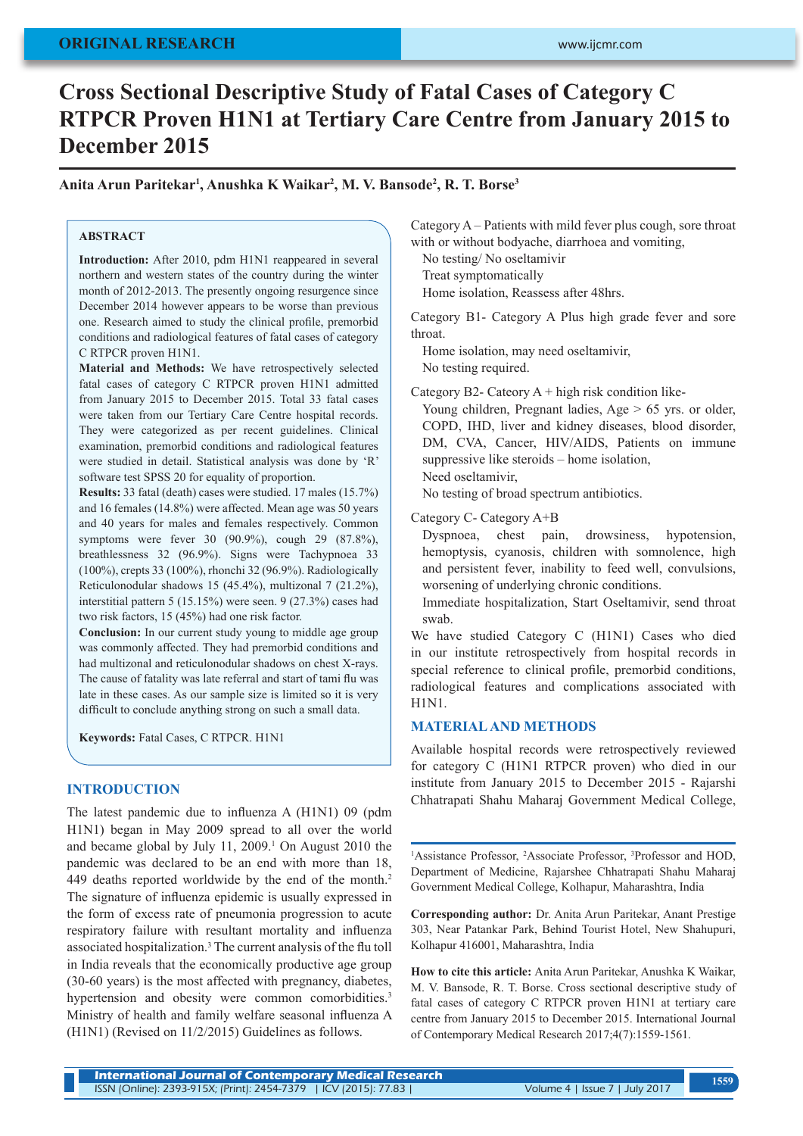# **ORIGINAL RESEARCH**

# **Cross Sectional Descriptive Study of Fatal Cases of Category C RTPCR Proven H1N1 at Tertiary Care Centre from January 2015 to December 2015**

**Anita Arun Paritekar1 , Anushka K Waikar2 , M. V. Bansode2 , R. T. Borse3**

# **ABSTRACT**

**Introduction:** After 2010, pdm H1N1 reappeared in several northern and western states of the country during the winter month of 2012-2013. The presently ongoing resurgence since December 2014 however appears to be worse than previous one. Research aimed to study the clinical profile, premorbid conditions and radiological features of fatal cases of category C RTPCR proven H1N1.

**Material and Methods:** We have retrospectively selected fatal cases of category C RTPCR proven H1N1 admitted from January 2015 to December 2015. Total 33 fatal cases were taken from our Tertiary Care Centre hospital records. They were categorized as per recent guidelines. Clinical examination, premorbid conditions and radiological features were studied in detail. Statistical analysis was done by 'R' software test SPSS 20 for equality of proportion.

**Results:** 33 fatal (death) cases were studied. 17 males (15.7%) and 16 females (14.8%) were affected. Mean age was 50 years and 40 years for males and females respectively. Common symptoms were fever 30 (90.9%), cough 29 (87.8%), breathlessness 32 (96.9%). Signs were Tachypnoea 33 (100%), crepts 33 (100%), rhonchi 32 (96.9%). Radiologically Reticulonodular shadows 15 (45.4%), multizonal 7 (21.2%), interstitial pattern 5 (15.15%) were seen. 9 (27.3%) cases had two risk factors, 15 (45%) had one risk factor.

**Conclusion:** In our current study young to middle age group was commonly affected. They had premorbid conditions and had multizonal and reticulonodular shadows on chest X-rays. The cause of fatality was late referral and start of tami flu was late in these cases. As our sample size is limited so it is very difficult to conclude anything strong on such a small data.

**Keywords:** Fatal Cases, C RTPCR. H1N1

# **INTRODUCTION**

The latest pandemic due to influenza A (H1N1) 09 (pdm H1N1) began in May 2009 spread to all over the world and became global by July 11, 2009.<sup>1</sup> On August 2010 the pandemic was declared to be an end with more than 18, 449 deaths reported worldwide by the end of the month.<sup>2</sup> The signature of influenza epidemic is usually expressed in the form of excess rate of pneumonia progression to acute respiratory failure with resultant mortality and influenza associated hospitalization.3 The current analysis of the flu toll in India reveals that the economically productive age group (30-60 years) is the most affected with pregnancy, diabetes, hypertension and obesity were common comorbidities.<sup>3</sup> Ministry of health and family welfare seasonal influenza A (H1N1) (Revised on 11/2/2015) Guidelines as follows.

Category A – Patients with mild fever plus cough, sore throat with or without bodyache, diarrhoea and vomiting,

No testing/ No oseltamivir

Treat symptomatically

Home isolation, Reassess after 48hrs.

Category B1- Category A Plus high grade fever and sore throat.

Home isolation, may need oseltamivir, No testing required.

Category B2- Cateory  $A + high$  risk condition like-

Young children, Pregnant ladies,  $Age > 65$  yrs. or older, COPD, IHD, liver and kidney diseases, blood disorder, DM, CVA, Cancer, HIV/AIDS, Patients on immune suppressive like steroids – home isolation, Need oseltamivir,

No testing of broad spectrum antibiotics.

Category C- Category A+B

Dyspnoea, chest pain, drowsiness, hypotension, hemoptysis, cyanosis, children with somnolence, high and persistent fever, inability to feed well, convulsions, worsening of underlying chronic conditions.

Immediate hospitalization, Start Oseltamivir, send throat swab.

We have studied Category C (H1N1) Cases who died in our institute retrospectively from hospital records in special reference to clinical profile, premorbid conditions, radiological features and complications associated with H1N1.

#### **MATERIAL AND METHODS**

Available hospital records were retrospectively reviewed for category C (H1N1 RTPCR proven) who died in our institute from January 2015 to December 2015 - Rajarshi Chhatrapati Shahu Maharaj Government Medical College,

<sup>1</sup>Assistance Professor, <sup>2</sup>Associate Professor, <sup>3</sup>Professor and HOD, Department of Medicine, Rajarshee Chhatrapati Shahu Maharaj Government Medical College, Kolhapur, Maharashtra, India

**Corresponding author:** Dr. Anita Arun Paritekar, Anant Prestige 303, Near Patankar Park, Behind Tourist Hotel, New Shahupuri, Kolhapur 416001, Maharashtra, India

**How to cite this article:** Anita Arun Paritekar, Anushka K Waikar, M. V. Bansode, R. T. Borse. Cross sectional descriptive study of fatal cases of category C RTPCR proven H1N1 at tertiary care centre from January 2015 to December 2015. International Journal of Contemporary Medical Research 2017;4(7):1559-1561.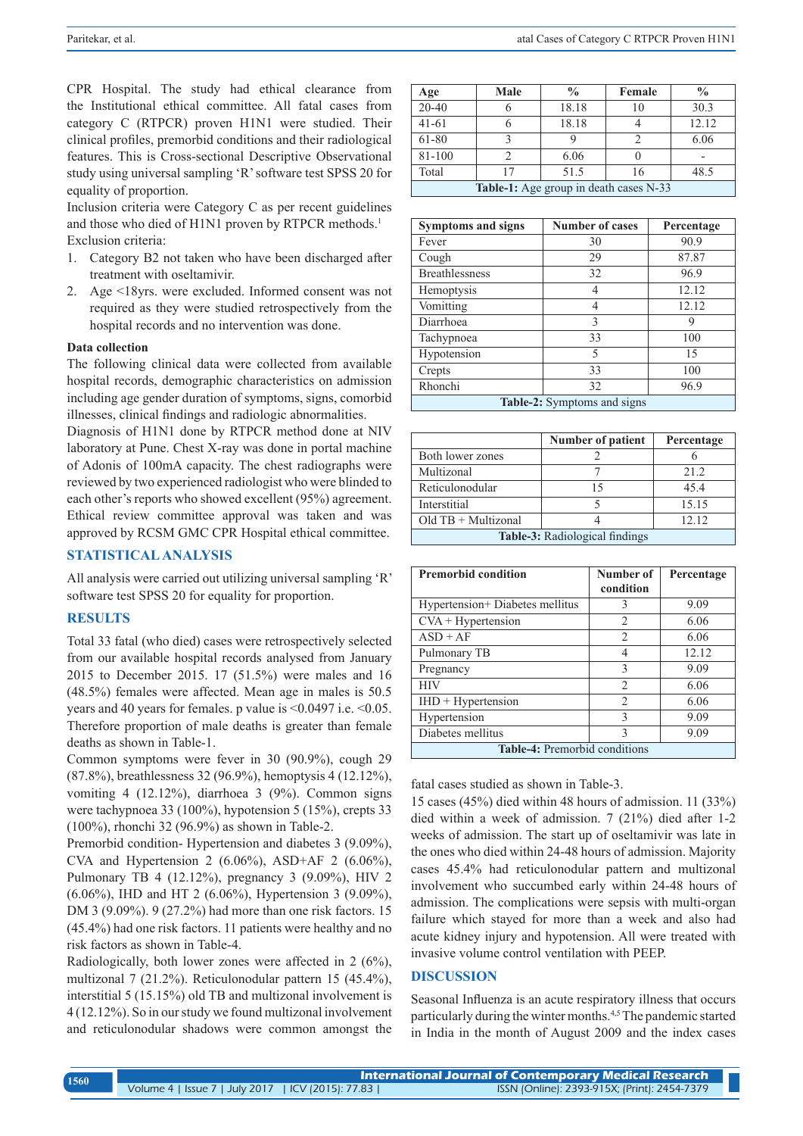CPR Hospital. The study had ethical clearance from the Institutional ethical committee. All fatal cases from category C (RTPCR) proven H1N1 were studied. Their clinical profiles, premorbid conditions and their radiological features. This is Cross-sectional Descriptive Observational study using universal sampling 'R' software test SPSS 20 for equality of proportion.

Inclusion criteria were Category C as per recent guidelines and those who died of H1N1 proven by RTPCR methods.<sup>1</sup> Exclusion criteria:

- 1. Category B2 not taken who have been discharged after treatment with oseltamivir.
- 2. Age <18yrs. were excluded. Informed consent was not required as they were studied retrospectively from the hospital records and no intervention was done.

#### **Data collection**

The following clinical data were collected from available hospital records, demographic characteristics on admission including age gender duration of symptoms, signs, comorbid illnesses, clinical findings and radiologic abnormalities.

Diagnosis of H1N1 done by RTPCR method done at NIV laboratory at Pune. Chest X-ray was done in portal machine of Adonis of 100mA capacity. The chest radiographs were reviewed by two experienced radiologist who were blinded to each other's reports who showed excellent (95%) agreement. Ethical review committee approval was taken and was approved by RCSM GMC CPR Hospital ethical committee.

# **STATISTICAL ANALYSIS**

All analysis were carried out utilizing universal sampling 'R' software test SPSS 20 for equality for proportion.

### **RESULTS**

Total 33 fatal (who died) cases were retrospectively selected from our available hospital records analysed from January 2015 to December 2015. 17 (51.5%) were males and 16 (48.5%) females were affected. Mean age in males is 50.5 years and 40 years for females. p value is <0.0497 i.e. <0.05. Therefore proportion of male deaths is greater than female deaths as shown in Table-1.

Common symptoms were fever in 30 (90.9%), cough 29 (87.8%), breathlessness 32 (96.9%), hemoptysis 4 (12.12%), vomiting 4 (12.12%), diarrhoea 3 (9%). Common signs were tachypnoea 33 (100%), hypotension 5 (15%), crepts 33 (100%), rhonchi 32 (96.9%) as shown in Table-2.

Premorbid condition- Hypertension and diabetes 3 (9.09%), CVA and Hypertension 2  $(6.06\%)$ , ASD+AF 2  $(6.06\%)$ , Pulmonary TB 4 (12.12%), pregnancy 3 (9.09%), HIV 2 (6.06%), IHD and HT 2 (6.06%), Hypertension 3 (9.09%), DM 3 (9.09%). 9 (27.2%) had more than one risk factors. 15 (45.4%) had one risk factors. 11 patients were healthy and no risk factors as shown in Table-4.

Radiologically, both lower zones were affected in 2 (6%), multizonal 7 (21.2%). Reticulonodular pattern 15 (45.4%), interstitial 5 (15.15%) old TB and multizonal involvement is 4 (12.12%). So in our study we found multizonal involvement and reticulonodular shadows were common amongst the

| Age                                           | Male | $\frac{0}{0}$ | Female | $\frac{0}{0}$ |  |
|-----------------------------------------------|------|---------------|--------|---------------|--|
| $\overline{20-40}$                            |      | 18.18         | 10     | 30.3          |  |
| $41-61$                                       |      | 18.18         |        | 12.12         |  |
| 61-80                                         |      |               |        | 6.06          |  |
| 81-100                                        |      | 6.06          |        |               |  |
| Total                                         |      | 51.5          | 16     | 48.5          |  |
| <b>Table-1:</b> Age group in death cases N-33 |      |               |        |               |  |

| <b>Symptoms and signs</b>   | <b>Number of cases</b> | Percentage |  |  |
|-----------------------------|------------------------|------------|--|--|
| Fever                       | 30                     | 90.9       |  |  |
| Cough                       | 29                     | 87.87      |  |  |
| <b>Breathlessness</b>       | 32                     | 96.9       |  |  |
| Hemoptysis                  | 4                      | 12.12      |  |  |
| Vomitting                   | 4                      | 12.12      |  |  |
| Diarrhoea                   | 3                      | 9          |  |  |
| Tachypnoea                  | 33                     | 100        |  |  |
| Hypotension                 | 5                      | 15         |  |  |
| Crepts                      | 33                     | 100        |  |  |
| Rhonchi                     | 32                     | 96.9       |  |  |
| Table-2: Symptoms and signs |                        |            |  |  |

|                                       | <b>Number of patient</b> | Percentage |  |  |
|---------------------------------------|--------------------------|------------|--|--|
| Both lower zones                      |                          |            |  |  |
| Multizonal                            |                          | 212        |  |  |
| Reticulonodular                       | 15                       | 454        |  |  |
| Interstitial                          |                          | 15.15      |  |  |
| $Old TB + Multizonal$                 |                          | 12.12      |  |  |
| <b>Table-3:</b> Radiological findings |                          |            |  |  |

| <b>Premorbid condition</b>     | Number of                     | Percentage |  |  |  |
|--------------------------------|-------------------------------|------------|--|--|--|
|                                | condition                     |            |  |  |  |
| Hypertension+Diabetes mellitus | 3                             | 9.09       |  |  |  |
| $CVA + Hypertension$           | 2                             | 6.06       |  |  |  |
| $ASD + AF$                     | 2                             | 6.06       |  |  |  |
| Pulmonary TB                   | 4                             | 12.12      |  |  |  |
| Pregnancy                      | 3                             | 9.09       |  |  |  |
| <b>HIV</b>                     | $\mathfrak{D}_{\mathfrak{p}}$ | 6.06       |  |  |  |
| $IHD + Hypertension$           | $\mathfrak{D}_{\mathfrak{p}}$ | 6.06       |  |  |  |
| Hypertension                   | $\mathbf{3}$                  | 9.09       |  |  |  |
| Diabetes mellitus              | ς                             | 9.09       |  |  |  |
| Table-4: Premorbid conditions  |                               |            |  |  |  |

fatal cases studied as shown in Table-3.

15 cases (45%) died within 48 hours of admission. 11 (33%) died within a week of admission. 7 (21%) died after 1-2 weeks of admission. The start up of oseltamivir was late in the ones who died within 24-48 hours of admission. Majority cases 45.4% had reticulonodular pattern and multizonal involvement who succumbed early within 24-48 hours of admission. The complications were sepsis with multi-organ failure which stayed for more than a week and also had acute kidney injury and hypotension. All were treated with invasive volume control ventilation with PEEP.

#### **DISCUSSION**

Seasonal Influenza is an acute respiratory illness that occurs particularly during the winter months.4,5 The pandemic started in India in the month of August 2009 and the index cases